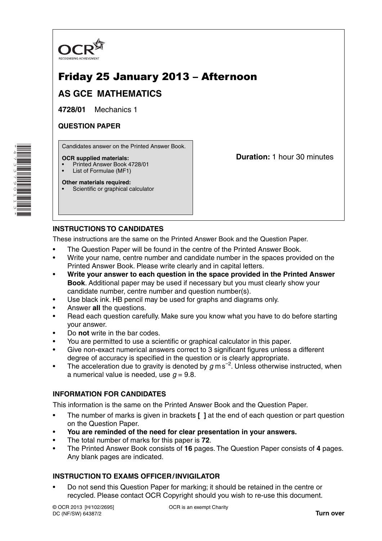

# Friday 25 January 2013 – Afternoon

## **AS GCE MATHEMATICS**

**4728/01** Mechanics 1

### **QUESTION PAPER**

Candidates answer on the Printed Answer Book.

### **OCR supplied materials:**

- Printed Answer Book 4728/01
- List of Formulae (MF1)

**Duration:** 1 hour 30 minutes

#### **Other materials required:** Scientific or graphical calculator

## **INSTRUCTIONS TO CANDIDATES**

These instructions are the same on the Printed Answer Book and the Question Paper.

- The Question Paper will be found in the centre of the Printed Answer Book.
- Write your name, centre number and candidate number in the spaces provided on the Printed Answer Book. Please write clearly and in capital letters.
- **Write your answer to each question in the space provided in the Printed Answer Book**. Additional paper may be used if necessary but you must clearly show your candidate number, centre number and question number(s).
- Use black ink. HB pencil may be used for graphs and diagrams only.
- Answer **all** the questions.
- Read each question carefully. Make sure you know what you have to do before starting your answer.
- Do **not** write in the bar codes.
- You are permitted to use a scientific or graphical calculator in this paper.
- Give non-exact numerical answers correct to 3 significant figures unless a different degree of accuracy is specified in the question or is clearly appropriate.
- The acceleration due to gravity is denoted by *g* m s−2 . Unless otherwise instructed, when a numerical value is needed, use  $q = 9.8$ .

## **INFORMATION FOR CANDIDATES**

This information is the same on the Printed Answer Book and the Question Paper.

- The number of marks is given in brackets **[ ]** at the end of each question or part question on the Question Paper.
- **You are reminded of the need for clear presentation in your answers.**
- The total number of marks for this paper is **72**.
- The Printed Answer Book consists of **16** pages. The Question Paper consists of **4** pages. Any blank pages are indicated.

## **INSTRUCTION TO EXAMS OFFICER / INVIGILATOR**

• Do not send this Question Paper for marking; it should be retained in the centre or recycled. Please contact OCR Copyright should you wish to re-use this document.

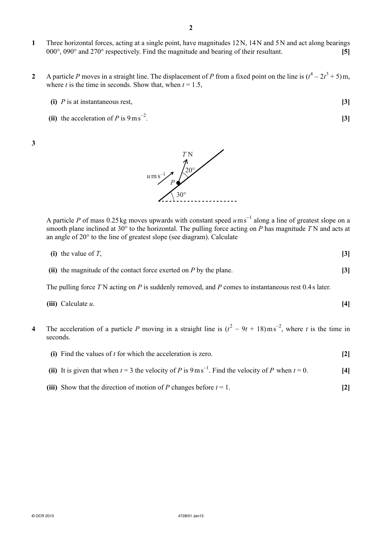- **1** Three horizontal forces, acting at a single point, have magnitudes 12 N, 14 N and 5 N and act along bearings 000°, 090° and 270° respectively. Find the magnitude and bearing of their resultant. **[5]**
- **2** A particle *P* moves in a straight line. The displacement of *P* from a fixed point on the line is  $(t^4 2t^3 + 5)$  m, where *t* is the time in seconds. Show that, when  $t = 1.5$ ,
	- **(i)** *P* is at instantaneous rest, **[3]**
	- **(ii)** the acceleration of *P* is  $9 \text{ m s}^{-2}$ . . **[3]**

**3** 



A particle *P* of mass 0.25 kg moves upwards with constant speed  $u$  ms<sup>-1</sup> along a line of greatest slope on a smooth plane inclined at 30° to the horizontal. The pulling force acting on *P* has magnitude *T* N and acts at an angle of 20° to the line of greatest slope (see diagram). Calculate

| (i) the value of $T$ , | $\lceil 3 \rceil$ |
|------------------------|-------------------|
|                        |                   |
| . .                    |                   |

 **(ii)** the magnitude of the contact force exerted on *P* by the plane. **[3]**

The pulling force *T* N acting on *P* is suddenly removed, and *P* comes to instantaneous rest 0.4 s later.

- **(iii)** Calculate *u*. **[4]**
- **4** The acceleration of a particle *P* moving in a straight line is  $(t^2 9t + 18) \text{ m s}^{-2}$ , where *t* is the time in seconds.
	- **(i)** Find the values of *t* for which the acceleration is zero. **[2]**
- (ii) It is given that when  $t = 3$  the velocity of *P* is 9 m s<sup>−1</sup>. Find the velocity of *P* when  $t = 0$ . [4]
	- **(iii)** Show that the direction of motion of *P* changes before  $t = 1$ . [2]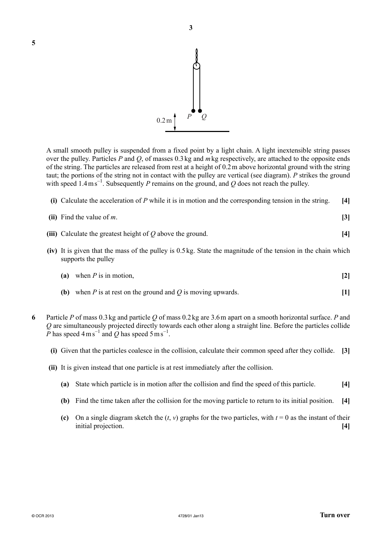

A small smooth pulley is suspended from a fixed point by a light chain. A light inextensible string passes over the pulley. Particles *P* and *Q*, of masses 0.3 kg and *m* kg respectively, are attached to the opposite ends of the string. The particles are released from rest at a height of 0.2 m above horizontal ground with the string taut; the portions of the string not in contact with the pulley are vertical (see diagram). *P* strikes the ground with speed 1.4 ms<sup>-1</sup>. Subsequently *P* remains on the ground, and *Q* does not reach the pulley.

 **(i)** Calculate the acceleration of *P* while it is in motion and the corresponding tension in the string. **[4]**

| (ii) Find the value of $m$ .                                 |  |
|--------------------------------------------------------------|--|
| (iii) Calculate the greatest height of $Q$ above the ground. |  |

 **(iv)** It is given that the mass of the pulley is 0.5 kg. State the magnitude of the tension in the chain which supports the pulley

|  | (a) when $P$ is in motion, |  |  |
|--|----------------------------|--|--|
|--|----------------------------|--|--|

- **(b)** when *P* is at rest on the ground and *Q* is moving upwards. **[1]**
- **6** Particle *P* of mass 0.3 kg and particle *Q* of mass 0.2 kg are 3.6 m apart on a smooth horizontal surface. *P* and *Q* are simultaneously projected directly towards each other along a straight line. Before the particles collide  $\tilde{P}$  has speed 4 m s<sup>−1</sup> and  $\tilde{Q}$  has speed 5 m s<sup>−1</sup>.
	- **(i)** Given that the particles coalesce in the collision, calculate their common speed after they collide. **[3]**
	- **(ii)** It is given instead that one particle is at rest immediately after the collision.
		- **(a)** State which particle is in motion after the collision and find the speed of this particle. **[4]**
		- **(b)** Find the time taken after the collision for the moving particle to return to its initial position. **[4]**
		- **(c)** On a single diagram sketch the  $(t, v)$  graphs for the two particles, with  $t = 0$  as the instant of their initial projection. **[4]**